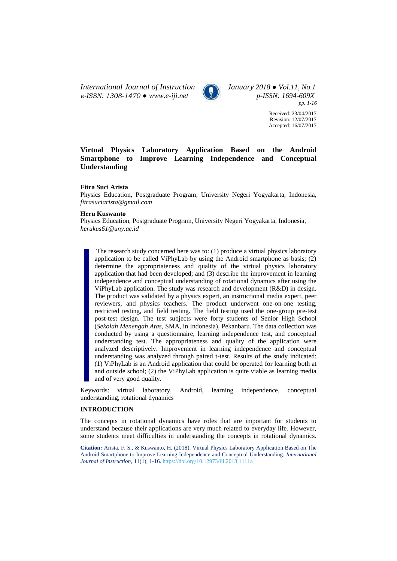*International Journal of Instruction January 2018 ● Vol.11, No.1 e-ISSN: 1308-1470 ● [www.e-iji.net](http://www.e-iji.net/) p-ISSN: 1694-609X*



*pp. 1-16*

Received: 23/04/2017 Revision: 12/07/2017 Accepted: 16/07/2017

# **Virtual Physics Laboratory Application Based on the Android Smartphone to Improve Learning Independence and Conceptual Understanding**

## **Fitra Suci Arista**

Physics Education, Postgraduate Program, University Negeri Yogyakarta, Indonesia, *[fitrasuciarista@gmail.com](mailto:fitrasuciarista@gmail.com)*

## **Heru Kuswanto**

Physics Education, Postgraduate Program, University Negeri Yogyakarta, Indonesia, *[herukus61@uny.ac.id](mailto:herukus61@uny.ac.id)*

The research study concerned here was to: (1) produce a virtual physics laboratory application to be called ViPhyLab by using the Android smartphone as basis; (2) determine the appropriateness and quality of the virtual physics laboratory application that had been developed; and (3) describe the improvement in learning independence and conceptual understanding of rotational dynamics after using the ViPhyLab application. The study was research and development (R&D) in design. The product was validated by a physics expert, an instructional media expert, peer reviewers, and physics teachers. The product underwent one-on-one testing, restricted testing, and field testing. The field testing used the one-group pre-test post-test design. The test subjects were forty students of Senior High School (*Sekolah Menengah Atas*, SMA, in Indonesia), Pekanbaru. The data collection was conducted by using a questionnaire, learning independence test, and conceptual understanding test. The appropriateness and quality of the application were analyzed descriptively. Improvement in learning independence and conceptual understanding was analyzed through paired t-test. Results of the study indicated: (1) ViPhyLab is an Android application that could be operated for learning both at and outside school; (2) the ViPhyLab application is quite viable as learning media and of very good quality.

Keywords: virtual laboratory, Android, learning independence, conceptual understanding, rotational dynamics

## **INTRODUCTION**

The concepts in rotational dynamics have roles that are important for students to understand because their applications are very much related to everyday life. However, some students meet difficulties in understanding the concepts in rotational dynamics.

**Citation:** Arista, F. S., & Kuswanto, H. (2018). Virtual Physics Laboratory Application Based on The Android Smartphone to Improve Learning Independence and Conceptual Understanding. *International Journal of Instruction*, 11(1), 1-16. <https://doi.org/10.12973/iji.2018.1111a>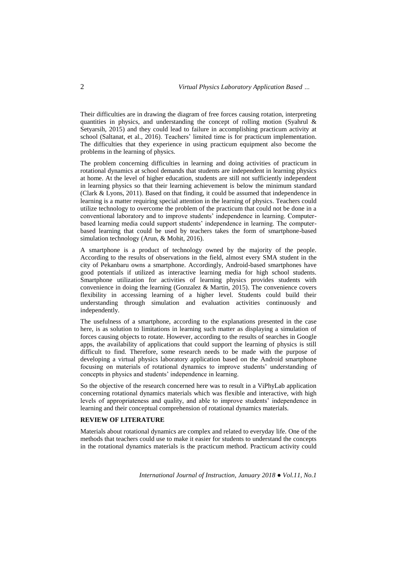Their difficulties are in drawing the diagram of free forces causing rotation, interpreting quantities in physics, and understanding the concept of rolling motion (Syahrul  $\&$ Setyarsih, 2015) and they could lead to failure in accomplishing practicum activity at school (Saltanat, et al., 2016). Teachers' limited time is for practicum implementation. The difficulties that they experience in using practicum equipment also become the problems in the learning of physics.

The problem concerning difficulties in learning and doing activities of practicum in rotational dynamics at school demands that students are independent in learning physics at home. At the level of higher education, students are still not sufficiently independent in learning physics so that their learning achievement is below the minimum standard (Clark & Lyons, 2011). Based on that finding, it could be assumed that independence in learning is a matter requiring special attention in the learning of physics. Teachers could utilize technology to overcome the problem of the practicum that could not be done in a conventional laboratory and to improve students' independence in learning. Computerbased learning media could support students' independence in learning. The computerbased learning that could be used by teachers takes the form of smartphone-based simulation technology (Arun, & Mohit, 2016).

A smartphone is a product of technology owned by the majority of the people. According to the results of observations in the field, almost every SMA student in the city of Pekanbaru owns a smartphone. Accordingly, Android-based smartphones have good potentials if utilized as interactive learning media for high school students. Smartphone utilization for activities of learning physics provides students with convenience in doing the learning (Gonzalez & Martin, 2015). The convenience covers flexibility in accessing learning of a higher level. Students could build their understanding through simulation and evaluation activities continuously and independently.

The usefulness of a smartphone, according to the explanations presented in the case here, is as solution to limitations in learning such matter as displaying a simulation of forces causing objects to rotate. However, according to the results of searches in Google apps, the availability of applications that could support the learning of physics is still difficult to find. Therefore, some research needs to be made with the purpose of developing a virtual physics laboratory application based on the Android smartphone focusing on materials of rotational dynamics to improve students' understanding of concepts in physics and students' independence in learning.

So the objective of the research concerned here was to result in a ViPhyLab application concerning rotational dynamics materials which was flexible and interactive, with high levels of appropriateness and quality, and able to improve students' independence in learning and their conceptual comprehension of rotational dynamics materials.

# **REVIEW OF LITERATURE**

Materials about rotational dynamics are complex and related to everyday life. One of the methods that teachers could use to make it easier for students to understand the concepts in the rotational dynamics materials is the practicum method. Practicum activity could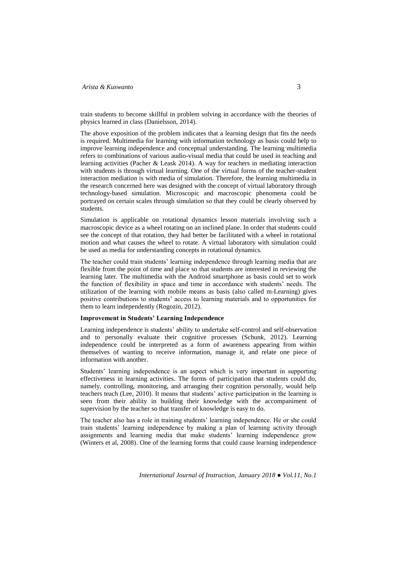train students to become skillful in problem solving in accordance with the theories of physics learned in class (Danielsson, 2014).

The above exposition of the problem indicates that a learning design that fits the needs is required. Multimedia for learning with information technology as basis could help to improve learning independence and conceptual understanding. The learning multimedia refers to combinations of various audio-visual media that could be used in teaching and learning activities (Pacher & Leask 2014). A way for teachers in mediating interaction with students is through virtual learning. One of the virtual forms of the teacher-student interaction mediation is with media of simulation. Therefore, the learning multimedia in the research concerned here was designed with the concept of virtual laboratory through technology-based simulation. Microscopic and macroscopic phenomena could be portrayed on certain scales through simulation so that they could be clearly observed by students.

Simulation is applicable on rotational dynamics lesson materials involving such a macroscopic device as a wheel rotating on an inclined plane. In order that students could see the concept of that rotation, they had better be facilitated with a wheel in rotational motion and what causes the wheel to rotate. A virtual laboratory with simulation could be used as media for understanding concepts in rotational dynamics.

The teacher could train students' learning independence through learning media that are flexible from the point of time and place so that students are interested in reviewing the learning later. The multimedia with the Android smartphone as basis could set to work the function of flexibility in space and time in accordance with students' needs. The utilization of the learning with mobile means as basis (also called m-Learning) gives positive contributions to students' access to learning materials and to opportunities for them to learn independently (Rogozin, 2012).

## **Improvement in Students' Learning Independence**

Learning independence is students' ability to undertake self-control and self-observation and to personally evaluate their cognitive processes (Schunk, 2012). Learning independence could be interpreted as a form of awareness appearing from within themselves of wanting to receive information, manage it, and relate one piece of information with another.

Students' learning independence is an aspect which is very important in supporting effectiveness in learning activities. The forms of participation that students could do, namely, controlling, monitoring, and arranging their cognition personally, would help teachers teach (Lee, 2010). It means that students' active participation in the learning is seen from their ability in building their knowledge with the accompaniment of supervision by the teacher so that transfer of knowledge is easy to do.

The teacher also has a role in training students' learning independence. He or she could train students' learning independence by making a plan of learning activity through assignments and learning media that make students' learning independence grow (Winters et al, 2008). One of the learning forms that could cause learning independence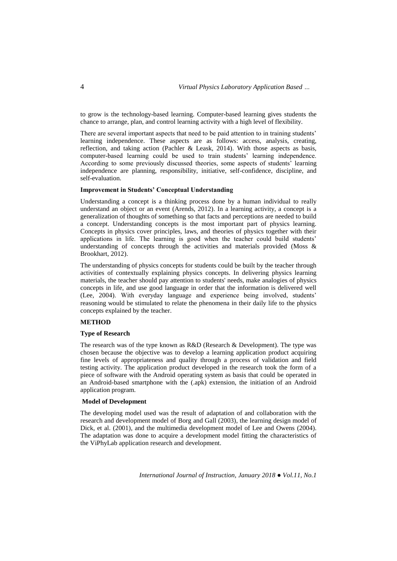to grow is the technology-based learning. Computer-based learning gives students the chance to arrange, plan, and control learning activity with a high level of flexibility.

There are several important aspects that need to be paid attention to in training students' learning independence. These aspects are as follows: access, analysis, creating, reflection, and taking action (Pachler & Leask, 2014). With those aspects as basis, computer-based learning could be used to train students' learning independence. According to some previously discussed theories, some aspects of students' learning independence are planning, responsibility, initiative, self-confidence, discipline, and self-evaluation.

## **Improvement in Students' Conceptual Understanding**

Understanding a concept is a thinking process done by a human individual to really understand an object or an event (Arends, 2012). In a learning activity, a concept is a generalization of thoughts of something so that facts and perceptions are needed to build a concept. Understanding concepts is the most important part of physics learning. Concepts in physics cover principles, laws, and theories of physics together with their applications in life. The learning is good when the teacher could build students' understanding of concepts through the activities and materials provided (Moss & Brookhart, 2012).

The understanding of physics concepts for students could be built by the teacher through activities of contextually explaining physics concepts. In delivering physics learning materials, the teacher should pay attention to students' needs, make analogies of physics concepts in life, and use good language in order that the information is delivered well (Lee, 2004). With everyday language and experience being involved, students' reasoning would be stimulated to relate the phenomena in their daily life to the physics concepts explained by the teacher.

# **METHOD**

#### **Type of Research**

The research was of the type known as R&D (Research & Development). The type was chosen because the objective was to develop a learning application product acquiring fine levels of appropriateness and quality through a process of validation and field testing activity. The application product developed in the research took the form of a piece of software with the Android operating system as basis that could be operated in an Android-based smartphone with the (.apk) extension, the initiation of an Android application program.

### **Model of Development**

The developing model used was the result of adaptation of and collaboration with the research and development model of Borg and Gall (2003), the learning design model of Dick, et al. (2001), and the multimedia development model of Lee and Owens (2004). The adaptation was done to acquire a development model fitting the characteristics of the ViPhyLab application research and development.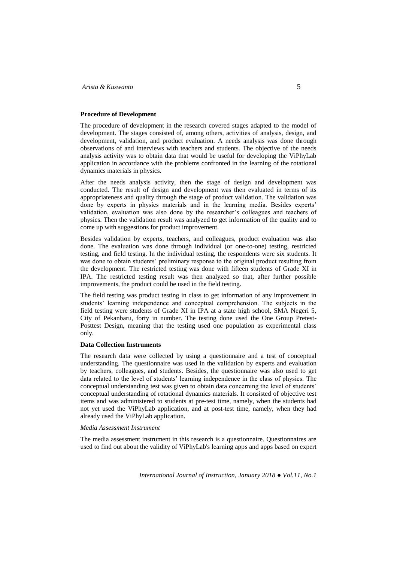## **Procedure of Development**

The procedure of development in the research covered stages adapted to the model of development. The stages consisted of, among others, activities of analysis, design, and development, validation, and product evaluation. A needs analysis was done through observations of and interviews with teachers and students. The objective of the needs analysis activity was to obtain data that would be useful for developing the ViPhyLab application in accordance with the problems confronted in the learning of the rotational dynamics materials in physics.

After the needs analysis activity, then the stage of design and development was conducted. The result of design and development was then evaluated in terms of its appropriateness and quality through the stage of product validation. The validation was done by experts in physics materials and in the learning media. Besides experts' validation, evaluation was also done by the researcher's colleagues and teachers of physics. Then the validation result was analyzed to get information of the quality and to come up with suggestions for product improvement.

Besides validation by experts, teachers, and colleagues, product evaluation was also done. The evaluation was done through individual (or one-to-one) testing, restricted testing, and field testing. In the individual testing, the respondents were six students. It was done to obtain students' preliminary response to the original product resulting from the development. The restricted testing was done with fifteen students of Grade XI in IPA. The restricted testing result was then analyzed so that, after further possible improvements, the product could be used in the field testing.

The field testing was product testing in class to get information of any improvement in students' learning independence and conceptual comprehension. The subjects in the field testing were students of Grade XI in IPA at a state high school, SMA Negeri 5, City of Pekanbaru, forty in number. The testing done used the One Group Pretest-Posttest Design, meaning that the testing used one population as experimental class only.

#### **Data Collection Instruments**

The research data were collected by using a questionnaire and a test of conceptual understanding. The questionnaire was used in the validation by experts and evaluation by teachers, colleagues, and students. Besides, the questionnaire was also used to get data related to the level of students' learning independence in the class of physics. The conceptual understanding test was given to obtain data concerning the level of students' conceptual understanding of rotational dynamics materials. It consisted of objective test items and was administered to students at pre-test time, namely, when the students had not yet used the ViPhyLab application, and at post-test time, namely, when they had already used the ViPhyLab application.

## *Media Assessment Instrument*

The media assessment instrument in this research is a questionnaire. Questionnaires are used to find out about the validity of ViPhyLab's learning apps and apps based on expert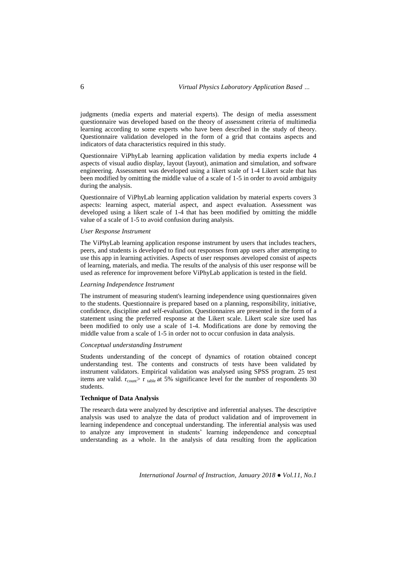judgments (media experts and material experts). The design of media assessment questionnaire was developed based on the theory of assessment criteria of multimedia learning according to some experts who have been described in the study of theory. Questionnaire validation developed in the form of a grid that contains aspects and indicators of data characteristics required in this study.

Questionnaire ViPhyLab learning application validation by media experts include 4 aspects of visual audio display, layout (layout), animation and simulation, and software engineering. Assessment was developed using a likert scale of 1-4 Likert scale that has been modified by omitting the middle value of a scale of 1-5 in order to avoid ambiguity during the analysis.

Questionnaire of ViPhyLab learning application validation by material experts covers 3 aspects: learning aspect, material aspect, and aspect evaluation. Assessment was developed using a likert scale of 1-4 that has been modified by omitting the middle value of a scale of 1-5 to avoid confusion during analysis.

#### *User Response Instrument*

The ViPhyLab learning application response instrument by users that includes teachers, peers, and students is developed to find out responses from app users after attempting to use this app in learning activities. Aspects of user responses developed consist of aspects of learning, materials, and media. The results of the analysis of this user response will be used as reference for improvement before ViPhyLab application is tested in the field.

#### *Learning Independence Instrument*

The instrument of measuring student's learning independence using questionnaires given to the students. Questionnaire is prepared based on a planning, responsibility, initiative, confidence, discipline and self-evaluation. Questionnaires are presented in the form of a statement using the preferred response at the Likert scale. Likert scale size used has been modified to only use a scale of 1-4. Modifications are done by removing the middle value from a scale of 1-5 in order not to occur confusion in data analysis.

### *Conceptual understanding Instrument*

Students understanding of the concept of dynamics of rotation obtained concept understanding test. The contents and constructs of tests have been validated by instrument validators. Empirical validation was analysed using SPSS program. 25 test items are valid.  $r_{\text{count}}$  r table at 5% significance level for the number of respondents 30 students.

## **Technique of Data Analysis**

The research data were analyzed by descriptive and inferential analyses. The descriptive analysis was used to analyze the data of product validation and of improvement in learning independence and conceptual understanding. The inferential analysis was used to analyze any improvement in students' learning independence and conceptual understanding as a whole. In the analysis of data resulting from the application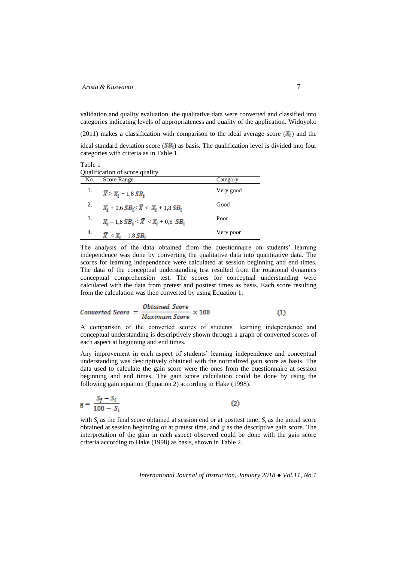validation and quality evaluation, the qualitative data were converted and classified into categories indicating levels of appropriateness and quality of the application. Widoyoko

(2011) makes a classification with comparison to the ideal average score  $(X_i)$  and the

ideal standard deviation score ( $\overline{SB_i}$ ) as basis. The qualification level is divided into four categories with criteria as in Table 1.

Table 1 Qualification of score quality

| No. | Score Range                                                  | Category  |
|-----|--------------------------------------------------------------|-----------|
| 1.  | $\overline{X} \geq X_i + 1.8SB_i$                            | Very good |
| 2.  | $X_i + 0, 6$ $SB_i \leq \overline{X} < X_i + 1, 8$ $SB_i$    | Good      |
| 3.  | $X_i - 1,8 \, SB_i \leq \overline{X} \, < X_i + 0,6 \, SB_i$ | Poor      |
| 4.  | $\overline{X}$ < $X_i$ – 1,8 $SB_i$                          | Very poor |

The analysis of the data obtained from the questionnaire on students' learning independence was done by converting the qualitative data into quantitative data. The scores for learning independence were calculated at session beginning and end times. The data of the conceptual understanding test resulted from the rotational dynamics conceptual comprehension test. The scores for conceptual understanding were calculated with the data from pretest and posttest times as basis. Each score resulting from the calculation was then converted by using Equation 1.

$$
Converted Score = \frac{Obtained Score}{Maximum Score} \times 100
$$
 (1)

A comparison of the converted scores of students' learning independence and conceptual understanding is descriptively shown through a graph of converted scores of each aspect at beginning and end times.

Any improvement in each aspect of students' learning independence and conceptual understanding was descriptively obtained with the normalized gain score as basis. The data used to calculate the gain score were the ones from the questionnaire at session beginning and end times. The gain score calculation could be done by using the following gain equation (Equation 2) according to Hake (1998).

$$
g = \frac{S_f - S_i}{100 - S_i} \tag{2}
$$

with  $S_f$  as the final score obtained at session end or at posttest time,  $S_t$  as the initial score obtained at session beginning or at pretest time, and *g* as the descriptive gain score. The interpretation of the gain in each aspect observed could be done with the gain score criteria according to Hake (1998) as basis, shown in Table 2.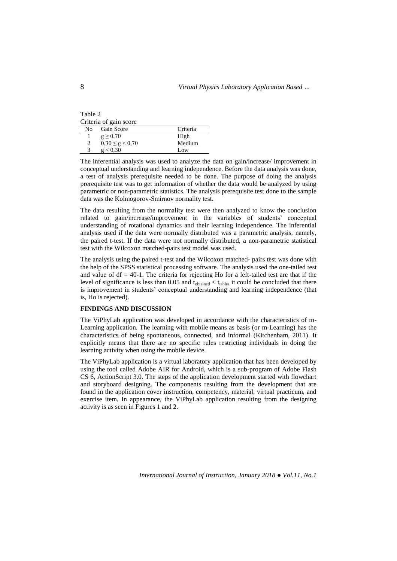| Table 2 |                        |  |
|---------|------------------------|--|
|         | Criteria of gain score |  |
|         | No Gain Score          |  |
|         | $\alpha > 0.70$        |  |

| $g \ge 0,70$            | High   |
|-------------------------|--------|
| $0,30 \leq g \leq 0,70$ | Medium |
| g < 0.30                | Low    |

The inferential analysis was used to analyze the data on gain/increase/ improvement in conceptual understanding and learning independence. Before the data analysis was done, a test of analysis prerequisite needed to be done. The purpose of doing the analysis prerequisite test was to get information of whether the data would be analyzed by using parametric or non-parametric statistics. The analysis prerequisite test done to the sample data was the Kolmogorov-Smirnov normality test.

Criteria

The data resulting from the normality test were then analyzed to know the conclusion related to gain/increase/improvement in the variables of students' conceptual understanding of rotational dynamics and their learning independence. The inferential analysis used if the data were normally distributed was a parametric analysis, namely, the paired t-test. If the data were not normally distributed, a non-parametric statistical test with the Wilcoxon matched-pairs test model was used.

The analysis using the paired t-test and the Wilcoxon matched- pairs test was done with the help of the SPSS statistical processing software. The analysis used the one-tailed test and value of  $df = 40-1$ . The criteria for rejecting Ho for a left-tailed test are that if the level of significance is less than 0.05 and  $t_{\text{obtained}} < t_{\text{table}}$ , it could be concluded that there is improvement in students' conceptual understanding and learning independence (that is, Ho is rejected).

#### **FINDINGS AND DISCUSSION**

The ViPhyLab application was developed in accordance with the characteristics of m-Learning application. The learning with mobile means as basis (or m-Learning) has the characteristics of being spontaneous, connected, and informal (Kitchenham, 2011). It explicitly means that there are no specific rules restricting individuals in doing the learning activity when using the mobile device.

The ViPhyLab application is a virtual laboratory application that has been developed by using the tool called Adobe AIR for Android, which is a sub-program of Adobe Flash CS 6, ActionScript 3.0. The steps of the application development started with flowchart and storyboard designing. The components resulting from the development that are found in the application cover instruction, competency, material, virtual practicum, and exercise item. In appearance, the ViPhyLab application resulting from the designing activity is as seen in Figures 1 and 2.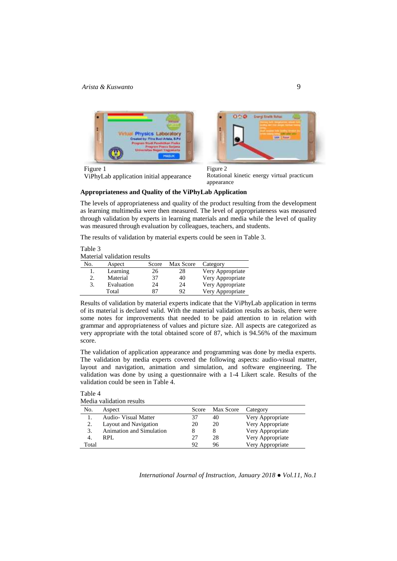



Figure 1 ViPhyLab application initial appearance

Figure 2 Rotational kinetic energy virtual practicum appearance

## **Appropriateness and Quality of the ViPhyLab Application**

The levels of appropriateness and quality of the product resulting from the development as learning multimedia were then measured. The level of appropriateness was measured through validation by experts in learning materials and media while the level of quality was measured through evaluation by colleagues, teachers, and students.

The results of validation by material experts could be seen in Table 3.

Table 3 Material validation results

| No. | Aspect     | Score | Max Score | Category         |
|-----|------------|-------|-----------|------------------|
| ı.  | Learning   | 26    | 28        | Very Appropriate |
| 2.  | Material   | 37    | 40        | Very Appropriate |
| 3.  | Evaluation | 24    | 24        | Very Appropriate |
|     | Total      | 87    | 92        | Very Appropriate |

Results of validation by material experts indicate that the ViPhyLab application in terms of its material is declared valid. With the material validation results as basis, there were some notes for improvements that needed to be paid attention to in relation with grammar and appropriateness of values and picture size. All aspects are categorized as very appropriate with the total obtained score of 87, which is 94.56% of the maximum score.

The validation of application appearance and programming was done by media experts. The validation by media experts covered the following aspects: audio-visual matter, layout and navigation, animation and simulation, and software engineering. The validation was done by using a questionnaire with a 1-4 Likert scale. Results of the validation could be seen in Table 4.

## Table 4

Media validation results

| No.   | Aspect                      | Score | Max Score Category |                  |
|-------|-----------------------------|-------|--------------------|------------------|
|       | <b>Audio-</b> Visual Matter | 37    | 40                 | Very Appropriate |
| 2.    | Layout and Navigation       | 20    | 20                 | Very Appropriate |
| 3.    | Animation and Simulation    |       |                    | Very Appropriate |
| -4.   | RPL                         | 27    | 28                 | Very Appropriate |
| Total |                             | 92    | 96                 | Very Appropriate |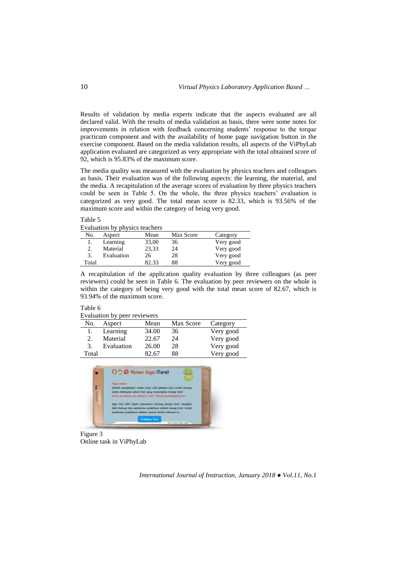Results of validation by media experts indicate that the aspects evaluated are all declared valid. With the results of media validation as basis, there were some notes for improvements in relation with feedback concerning students' response to the torque practicum component and with the availability of home page navigation button in the exercise component. Based on the media validation results, all aspects of the ViPhyLab application evaluated are categorized as very appropriate with the total obtained score of 92, which is 95.83% of the maximum score.

The media quality was measured with the evaluation by physics teachers and colleagues as basis. Their evaluation was of the following aspects: the learning, the material, and the media. A recapitulation of the average scores of evaluation by three physics teachers could be seen in Table 5. On the whole, the three physics teachers' evaluation is categorized as very good. The total mean score is 82.33, which is 93.56% of the maximum score and within the category of being very good.

Table 5

Evaluation by physics teachers

| No.   | Aspect     | Mean  | Max Score | Category  |
|-------|------------|-------|-----------|-----------|
|       | Learning   | 33,00 | 36        | Very good |
|       | Material   | 23,33 | 24        | Very good |
|       | Evaluation | 26    | 28        | Very good |
| Total |            | 29 33 | 88        | Very good |

A recapitulation of the application quality evaluation by three colleagues (as peer reviewers) could be seen in Table 6. The evaluation by peer reviewers on the whole is within the category of being very good with the total mean score of 82.67, which is 93.94% of the maximum score.

#### Table 6

|     | Evaluation by peer reviewers |       |           |           |  |
|-----|------------------------------|-------|-----------|-----------|--|
| No. | Aspect                       | Mean  | Max Score | Category  |  |
| 1.  | Learning                     | 34.00 | 36        | Very good |  |
| 2.  | Material                     | 22.67 | 24        | Very good |  |
| 3   | Evaluation                   | 26.00 | 28        | Very good |  |

Total 82.67 88 Very good



Figure 3 Online task in ViPhyLab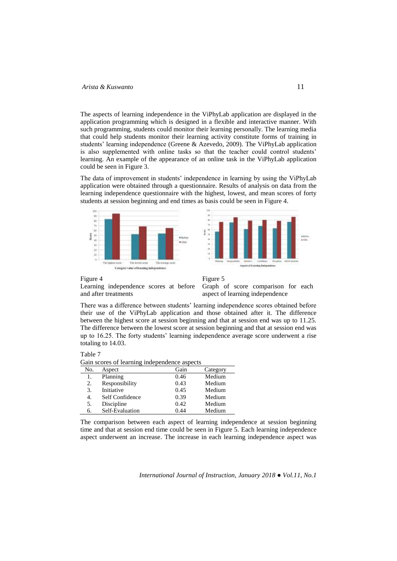The aspects of learning independence in the ViPhyLab application are displayed in the application programming which is designed in a flexible and interactive manner. With such programming, students could monitor their learning personally. The learning media that could help students monitor their learning activity constitute forms of training in students' learning independence (Greene & Azevedo, 2009). The ViPhyLab application is also supplemented with online tasks so that the teacher could control students' learning. An example of the appearance of an online task in the ViPhyLab application could be seen in Figure 3.

The data of improvement in students' independence in learning by using the ViPhyLab application were obtained through a questionnaire. Results of analysis on data from the learning independence questionnaire with the highest, lowest, and mean scores of forty students at session beginning and end times as basis could be seen in Figure 4.





#### Figure 4

Learning independence scores at before and after treatments



Graph of score comparison for each aspect of learning independence

There was a difference between students' learning independence scores obtained before their use of the ViPhyLab application and those obtained after it. The difference between the highest score at session beginning and that at session end was up to 11.25. The difference between the lowest score at session beginning and that at session end was up to 16.25. The forty students' learning independence average score underwent a rise totaling to 14.03.



Gain scores of learning independence aspects

| Sain secres or rearning maependence aspects |                 |      |          |  |
|---------------------------------------------|-----------------|------|----------|--|
| No.                                         | Aspect          | Gain | Category |  |
| 1.                                          | Planning        | 0.46 | Medium   |  |
| 2.                                          | Responsibility  | 0.43 | Medium   |  |
| 3.                                          | Initiative      | 0.45 | Medium   |  |
| 4.                                          | Self Confidence | 0.39 | Medium   |  |
| 5.                                          | Discipline      | 0.42 | Medium   |  |
| 6.                                          | Self-Evaluation | 0.44 | Medium   |  |

The comparison between each aspect of learning independence at session beginning time and that at session end time could be seen in Figure 5. Each learning independence aspect underwent an increase. The increase in each learning independence aspect was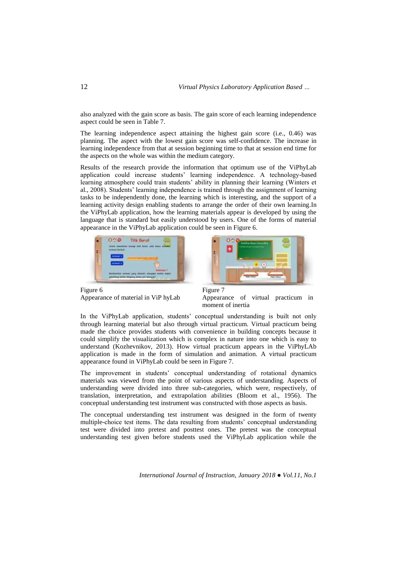also analyzed with the gain score as basis. The gain score of each learning independence aspect could be seen in Table 7.

The learning independence aspect attaining the highest gain score (i.e., 0.46) was planning. The aspect with the lowest gain score was self-confidence. The increase in learning independence from that at session beginning time to that at session end time for the aspects on the whole was within the medium category.

Results of the research provide the information that optimum use of the ViPhyLab application could increase students' learning independence. A technology-based learning atmosphere could train students' ability in planning their learning (Winters et al., 2008). Students' learning independence is trained through the assignment of learning tasks to be independently done, the learning which is interesting, and the support of a learning activity design enabling students to arrange the order of their own learning.In the ViPhyLab application, how the learning materials appear is developed by using the language that is standard but easily understood by users. One of the forms of material appearance in the ViPhyLab application could be seen in Figure 6.



Figure 6 Appearance of material in ViP hyLab



Figure 7 Appearance of virtual practicum in moment of inertia

In the ViPhyLab application, students' conceptual understanding is built not only through learning material but also through virtual practicum. Virtual practicum being made the choice provides students with convenience in building concepts because it could simplify the visualization which is complex in nature into one which is easy to understand (Kozhevnikov, 2013). How virtual practicum appears in the ViPhyLAb application is made in the form of simulation and animation. A virtual practicum appearance found in ViPhyLab could be seen in Figure 7.

The improvement in students' conceptual understanding of rotational dynamics materials was viewed from the point of various aspects of understanding. Aspects of understanding were divided into three sub-categories, which were, respectively, of translation, interpretation, and extrapolation abilities (Bloom et al., 1956). The conceptual understanding test instrument was constructed with those aspects as basis.

The conceptual understanding test instrument was designed in the form of twenty multiple-choice test items. The data resulting from students' conceptual understanding test were divided into pretest and posttest ones. The pretest was the conceptual understanding test given before students used the ViPhyLab application while the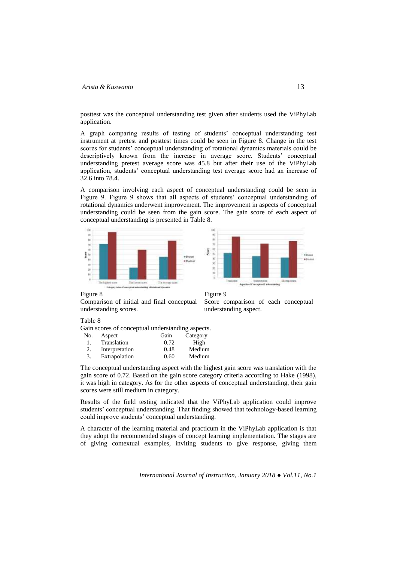posttest was the conceptual understanding test given after students used the ViPhyLab application.

A graph comparing results of testing of students' conceptual understanding test instrument at pretest and posttest times could be seen in Figure 8. Change in the test scores for students' conceptual understanding of rotational dynamics materials could be descriptively known from the increase in average score. Students' conceptual understanding pretest average score was 45.8 but after their use of the ViPhyLab application, students' conceptual understanding test average score had an increase of 32.6 into 78.4.

A comparison involving each aspect of conceptual understanding could be seen in Figure 9. Figure 9 shows that all aspects of students' conceptual understanding of rotational dynamics underwent improvement. The improvement in aspects of conceptual understanding could be seen from the gain score. The gain score of each aspect of conceptual understanding is presented in Table 8.





Figure 8

Comparison of initial and final conceptual understanding scores.

Figure 9

Score comparison of each conceptual understanding aspect.

## Table 8

Gain scores of conceptual understanding aspects.

| No. | Aspect         | Gain | Category |
|-----|----------------|------|----------|
|     | Translation    | 0.72 | High     |
|     | Interpretation | 0.48 | Medium   |
|     | Extrapolation  | 0.60 | Medium   |

The conceptual understanding aspect with the highest gain score was translation with the gain score of 0.72. Based on the gain score category criteria according to Hake (1998), it was high in category. As for the other aspects of conceptual understanding, their gain scores were still medium in category.

Results of the field testing indicated that the ViPhyLab application could improve students' conceptual understanding. That finding showed that technology-based learning could improve students' conceptual understanding.

A character of the learning material and practicum in the ViPhyLab application is that they adopt the recommended stages of concept learning implementation. The stages are of giving contextual examples, inviting students to give response, giving them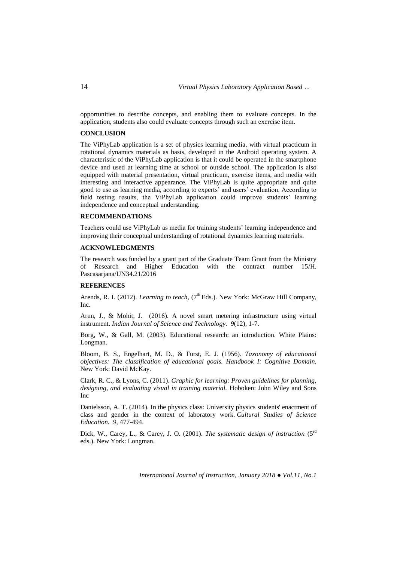opportunities to describe concepts, and enabling them to evaluate concepts. In the application, students also could evaluate concepts through such an exercise item.

## **CONCLUSION**

The ViPhyLab application is a set of physics learning media, with virtual practicum in rotational dynamics materials as basis, developed in the Android operating system. A characteristic of the ViPhyLab application is that it could be operated in the smartphone device and used at learning time at school or outside school. The application is also equipped with material presentation, virtual practicum, exercise items, and media with interesting and interactive appearance. The ViPhyLab is quite appropriate and quite good to use as learning media, according to experts' and users' evaluation. According to field testing results, the ViPhyLab application could improve students' learning independence and conceptual understanding.

## **RECOMMENDATIONS**

Teachers could use ViPhyLab as media for training students' learning independence and improving their conceptual understanding of rotational dynamics learning materials.

## **ACKNOWLEDGMENTS**

The research was funded by a grant part of the Graduate Team Grant from the Ministry of Research and Higher Education with the contract number 15/H. Pascasarjana/UN34.21/2016

### **REFERENCES**

Arends, R. I. (2012). *Learning to teach*, (7<sup>th</sup> Eds.). New York: McGraw Hill Company, Inc.

Arun, J., & Mohit, J. (2016). A novel smart metering infrastructure using virtual instrument. *Indian Journal of Science and Technology. 9*(12), 1-7.

Borg, W., & Gall, M. (2003). Educational research: an introduction. White Plains: Longman.

Bloom, B. S., Engelhart, M. D., & Furst, E. J. (1956). *Taxonomy of educational objectives: The classification of educational goals. Handbook I: Cognitive Domain.* New York: David McKay.

Clark, R. C., & Lyons, C. (2011). *Graphic for learning: Proven guidelines for planning, designing, and evaluating visual in training material.* Hoboken: John Wiley and Sons Inc

Danielsson, A. T. (2014). In the physics class: University physics students' enactment of class and gender in the context of laboratory work. *Cultural Studies of Science Education. 9,* 477-494.

Dick, W., Carey, L., & Carey, J. O. (2001). *The systematic design of instruction* (5rd eds.). New York: Longman.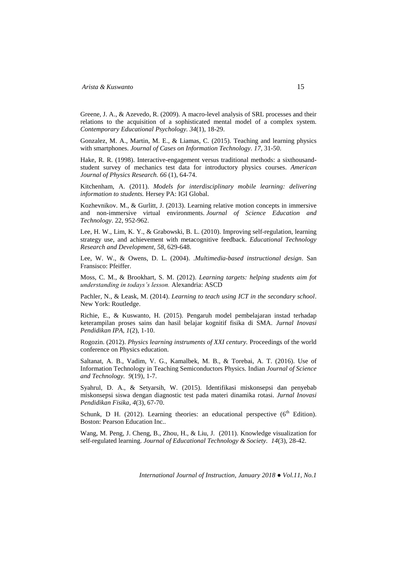Greene, J. A., & Azevedo, R. (2009). A macro-level analysis of SRL processes and their relations to the acquisition of a sophisticated mental model of a complex system. *Contemporary Educational Psychology. 34*(1), 18-29.

Gonzalez, M. A., Martin, M. E., & Liamas, C. (2015). Teaching and learning physics with smartphones. *Journal of Cases on Information Technology. 17*, 31-50.

Hake, R. R. (1998). Interactive-engagement versus traditional methods: a sixthousandstudent survey of mechanics test data for introductory physics courses. *American Journal of Physics Research. 66* (1), 64-74.

Kitchenham, A. (2011). *Models for interdisciplinary mobile learning: delivering information to students.* Hersey PA: IGI Global.

Kozhevnikov. M., & Gurlitt, J. (2013). Learning relative motion concepts in immersive and non-immersive virtual environments. *Journal of Science Education and Technology*. 22, 952-962.

Lee, H. W., Lim, K. Y., & Grabowski, B. L. (2010). Improving self-regulation, learning strategy use, and achievement with metacognitive feedback. *Educational Technology Research and Development, 58*, 629-648.

Lee, W. W., & Owens, D. L. (2004). .*Multimedia-based instructional design*. San Fransisco: Pfeiffer.

Moss, C. M., & Brookhart, S. M. (2012). *Learning targets: helping students aim fot understanding in todays's lesson.* Alexandria: ASCD

Pachler, N., & Leask, M. (2014). *Learning to teach using ICT in the secondary school*. New York: Routledge.

Richie, E., & Kuswanto, H. (2015). Pengaruh model pembelajaran instad terhadap keterampilan proses sains dan hasil belajar kognitif fisika di SMA. *Jurnal Inovasi Pendidikan IPA, 1*(2), 1-10.

Rogozin. (2012). *Physics learning instruments of XXI century.* Proceedings of the world conference on Physics education.

Saltanat, A. B., Vadim, V. G., Kamalbek, M. B., & Torebai, A. T. (2016). Use of Information Technology in Teaching Semiconductors Physics. Indian *Journal of Science and Technology. 9*(19), 1-7.

Syahrul, D. A., & Setyarsih, W. (2015). Identifikasi miskonsepsi dan penyebab miskonsepsi siswa dengan diagnostic test pada materi dinamika rotasi. *Jurnal Inovasi Pendidikan Fisika, 4*(3), 67-70.

Schunk, D H. (2012). Learning theories: an educational perspective  $(6<sup>th</sup> Edition)$ . Boston: Pearson Education Inc..

Wang, M. Peng, J. Cheng, B., Zhou, H., & Liu, J. (2011). Knowledge visualization for self-regulated learning. *Journal of Educational Technology & Society. 14*(3), 28-42.